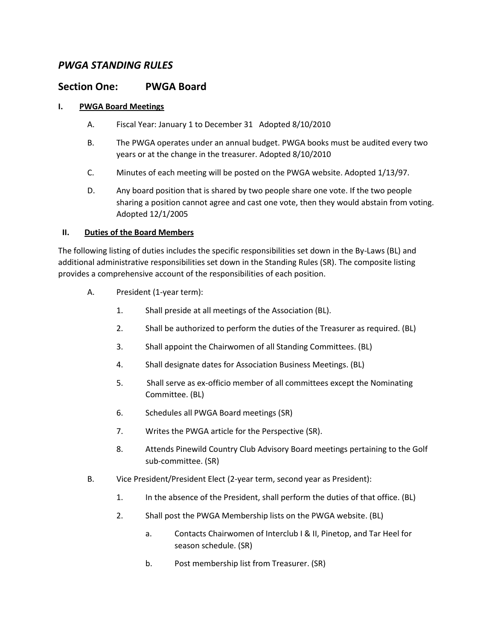# *PWGA STANDING RULES*

# **Section One: PWGA Board**

# **I. PWGA Board Meetings**

- A. Fiscal Year: January 1 to December 31 Adopted 8/10/2010
- B. The PWGA operates under an annual budget. PWGA books must be audited every two years or at the change in the treasurer. Adopted 8/10/2010
- C. Minutes of each meeting will be posted on the PWGA website. Adopted 1/13/97.
- D. Any board position that is shared by two people share one vote. If the two people sharing a position cannot agree and cast one vote, then they would abstain from voting. Adopted 12/1/2005

### **II. Duties of the Board Members**

The following listing of duties includes the specific responsibilities set down in the By-Laws (BL) and additional administrative responsibilities set down in the Standing Rules (SR). The composite listing provides a comprehensive account of the responsibilities of each position.

- A. President (1-year term):
	- 1. Shall preside at all meetings of the Association (BL).
	- 2. Shall be authorized to perform the duties of the Treasurer as required. (BL)
	- 3. Shall appoint the Chairwomen of all Standing Committees. (BL)
	- 4. Shall designate dates for Association Business Meetings. (BL)
	- 5. Shall serve as ex-officio member of all committees except the Nominating Committee. (BL)
	- 6. Schedules all PWGA Board meetings (SR)
	- 7. Writes the PWGA article for the Perspective (SR).
	- 8. Attends Pinewild Country Club Advisory Board meetings pertaining to the Golf sub-committee. (SR)
- B. Vice President/President Elect (2-year term, second year as President):
	- 1. In the absence of the President, shall perform the duties of that office. (BL)
	- 2. Shall post the PWGA Membership lists on the PWGA website. (BL)
		- a. Contacts Chairwomen of Interclub I & II, Pinetop, and Tar Heel for season schedule. (SR)
		- b. Post membership list from Treasurer. (SR)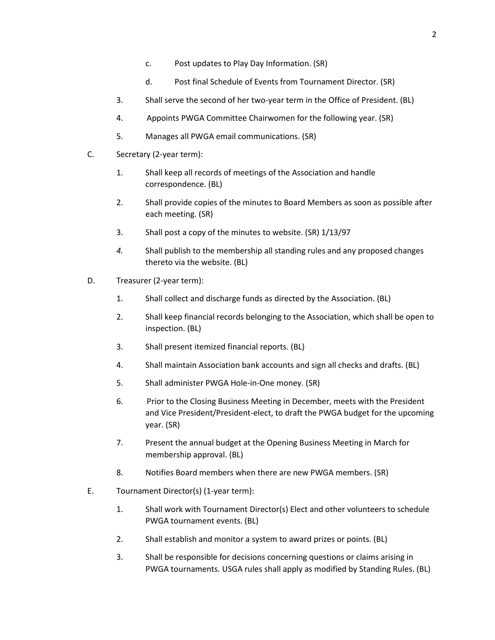- c. Post updates to Play Day Information. (SR)
- d. Post final Schedule of Events from Tournament Director. (SR)
- 3. Shall serve the second of her two-year term in the Office of President. (BL)
- 4. Appoints PWGA Committee Chairwomen for the following year. (SR)
- 5. Manages all PWGA email communications. (SR)
- C. Secretary (2-year term):
	- 1. Shall keep all records of meetings of the Association and handle correspondence. (BL)
	- 2. Shall provide copies of the minutes to Board Members as soon as possible after each meeting. (SR)
	- 3. Shall post a copy of the minutes to website. (SR) 1/13/97
	- *4.* Shall publish to the membership all standing rules and any proposed changes thereto via the website. (BL)
- D. Treasurer (2-year term):
	- 1. Shall collect and discharge funds as directed by the Association. (BL)
	- 2. Shall keep financial records belonging to the Association, which shall be open to inspection. (BL)
	- 3. Shall present itemized financial reports. (BL)
	- 4. Shall maintain Association bank accounts and sign all checks and drafts. (BL)
	- 5. Shall administer PWGA Hole-in-One money. (SR)
	- 6. Prior to the Closing Business Meeting in December, meets with the President and Vice President/President-elect, to draft the PWGA budget for the upcoming year. (SR)
	- 7. Present the annual budget at the Opening Business Meeting in March for membership approval. (BL)
	- 8. Notifies Board members when there are new PWGA members. (SR)
- E. Tournament Director(s) (1-year term):
	- 1. Shall work with Tournament Director(s) Elect and other volunteers to schedule PWGA tournament events. (BL)
	- 2. Shall establish and monitor a system to award prizes or points. (BL)
	- 3. Shall be responsible for decisions concerning questions or claims arising in PWGA tournaments. USGA rules shall apply as modified by Standing Rules. (BL)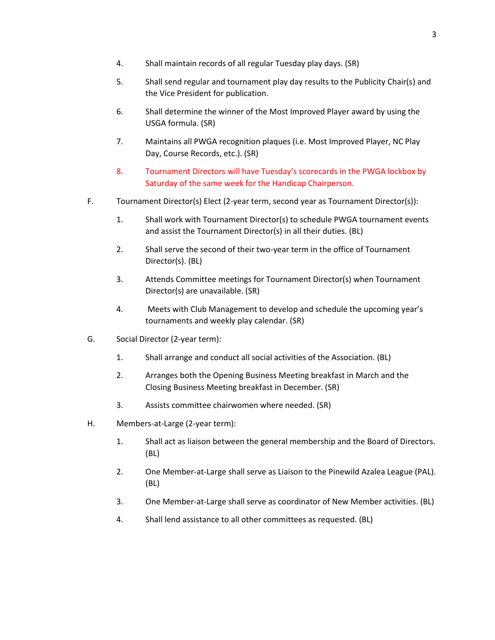- 4. Shall maintain records of all regular Tuesday play days. (SR)
- 5. Shall send regular and tournament play day results to the Publicity Chair(s) and the Vice President for publication.
- 6. Shall determine the winner of the Most Improved Player award by using the USGA formula. (SR)
- 7. Maintains all PWGA recognition plaques (i.e. Most Improved Player, NC Play Day, Course Records, etc.). (SR)
- 8. Tournament Directors will have Tuesday's scorecards in the PWGA lockbox by Saturday of the same week for the Handicap Chairperson.
- F. Tournament Director(s) Elect (2-year term, second year as Tournament Director(s)):
	- 1. Shall work with Tournament Director(s) to schedule PWGA tournament events and assist the Tournament Director(s) in all their duties. (BL)
	- 2. Shall serve the second of their two-year term in the office of Tournament Director(s). (BL)
	- 3. Attends Committee meetings for Tournament Director(s) when Tournament Director(s) are unavailable. (SR)
	- 4. Meets with Club Management to develop and schedule the upcoming year's tournaments and weekly play calendar. (SR)
- G. Social Director (2-year term):
	- 1. Shall arrange and conduct all social activities of the Association. (BL)
	- 2. Arranges both the Opening Business Meeting breakfast in March and the Closing Business Meeting breakfast in December. (SR)
	- 3. Assists committee chairwomen where needed. (SR)
- H. Members-at-Large (2-year term):
	- 1. Shall act as liaison between the general membership and the Board of Directors. (BL)
	- 2. One Member-at-Large shall serve as Liaison to the Pinewild Azalea League (PAL). (BL)
	- 3. One Member-at-Large shall serve as coordinator of New Member activities. (BL)
	- 4. Shall lend assistance to all other committees as requested. (BL)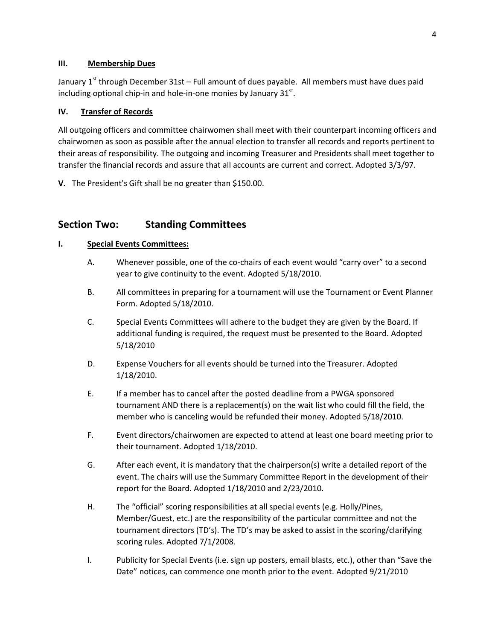### **III. Membership Dues**

January 1<sup>st</sup> through December 31st – Full amount of dues payable. All members must have dues paid including optional chip-in and hole-in-one monies by January 31 $^{\rm st}$ .

# **IV. Transfer of Records**

All outgoing officers and committee chairwomen shall meet with their counterpart incoming officers and chairwomen as soon as possible after the annual election to transfer all records and reports pertinent to their areas of responsibility. The outgoing and incoming Treasurer and Presidents shall meet together to transfer the financial records and assure that all accounts are current and correct. Adopted 3/3/97.

**V.** The President's Gift shall be no greater than \$150.00.

# **Section Two: Standing Committees**

# **I. Special Events Committees:**

- A. Whenever possible, one of the co-chairs of each event would "carry over" to a second year to give continuity to the event. Adopted 5/18/2010.
- B. All committees in preparing for a tournament will use the Tournament or Event Planner Form. Adopted 5/18/2010.
- C. Special Events Committees will adhere to the budget they are given by the Board. If additional funding is required, the request must be presented to the Board. Adopted 5/18/2010
- D. Expense Vouchers for all events should be turned into the Treasurer. Adopted 1/18/2010.
- E. If a member has to cancel after the posted deadline from a PWGA sponsored tournament AND there is a replacement(s) on the wait list who could fill the field, the member who is canceling would be refunded their money. Adopted 5/18/2010.
- F. Event directors/chairwomen are expected to attend at least one board meeting prior to their tournament. Adopted 1/18/2010.
- G. After each event, it is mandatory that the chairperson(s) write a detailed report of the event. The chairs will use the Summary Committee Report in the development of their report for the Board. Adopted 1/18/2010 and 2/23/2010.
- H. The "official" scoring responsibilities at all special events (e.g. Holly/Pines, Member/Guest, etc.) are the responsibility of the particular committee and not the tournament directors (TD's). The TD's may be asked to assist in the scoring/clarifying scoring rules. Adopted 7/1/2008.
- I. Publicity for Special Events (i.e. sign up posters, email blasts, etc.), other than "Save the Date" notices, can commence one month prior to the event. Adopted 9/21/2010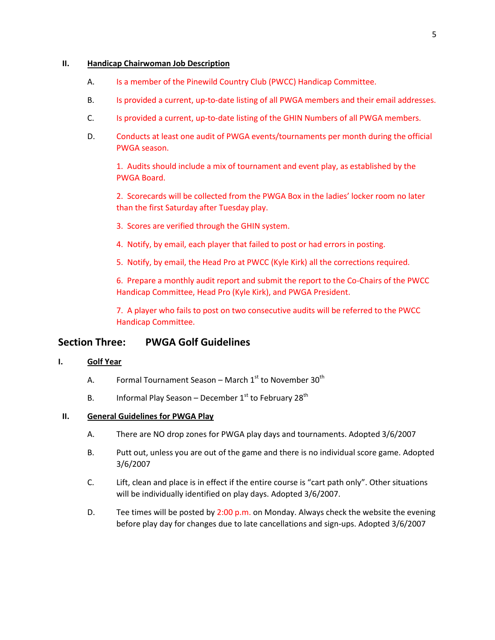#### **II. Handicap Chairwoman Job Description**

- A. Is a member of the Pinewild Country Club (PWCC) Handicap Committee.
- B. Is provided a current, up-to-date listing of all PWGA members and their email addresses.
- C. Is provided a current, up-to-date listing of the GHIN Numbers of all PWGA members.
- D. Conducts at least one audit of PWGA events/tournaments per month during the official PWGA season.

1. Audits should include a mix of tournament and event play, as established by the PWGA Board.

2. Scorecards will be collected from the PWGA Box in the ladies' locker room no later than the first Saturday after Tuesday play.

- 3. Scores are verified through the GHIN system.
- 4. Notify, by email, each player that failed to post or had errors in posting.
- 5. Notify, by email, the Head Pro at PWCC (Kyle Kirk) all the corrections required.

6. Prepare a monthly audit report and submit the report to the Co-Chairs of the PWCC Handicap Committee, Head Pro (Kyle Kirk), and PWGA President.

7. A player who fails to post on two consecutive audits will be referred to the PWCC Handicap Committee.

# **Section Three: PWGA Golf Guidelines**

### **I. Golf Year**

- A. Formal Tournament Season March  $1<sup>st</sup>$  to November 30<sup>th</sup>
- B. Informal Play Season December  $1<sup>st</sup>$  to February 28<sup>th</sup>

### **II. General Guidelines for PWGA Play**

- A. There are NO drop zones for PWGA play days and tournaments. Adopted 3/6/2007
- B. Putt out, unless you are out of the game and there is no individual score game. Adopted 3/6/2007
- C. Lift, clean and place is in effect if the entire course is "cart path only". Other situations will be individually identified on play days. Adopted 3/6/2007.
- D. Tee times will be posted by  $2:00$  p.m. on Monday. Always check the website the evening before play day for changes due to late cancellations and sign-ups. Adopted 3/6/2007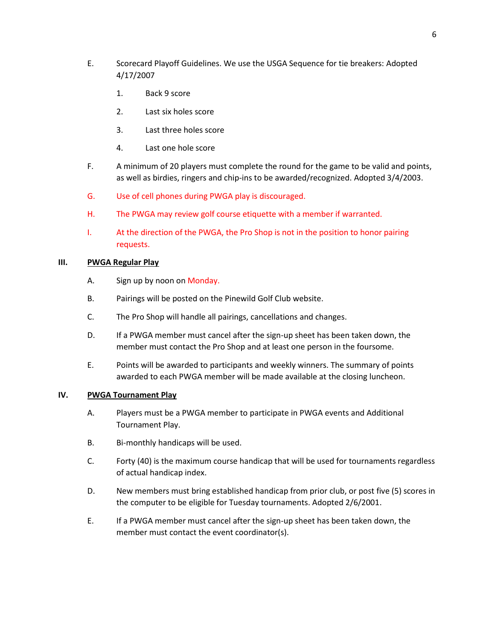- E. Scorecard Playoff Guidelines. We use the USGA Sequence for tie breakers: Adopted 4/17/2007
	- 1. Back 9 score
	- 2. Last six holes score
	- 3. Last three holes score
	- 4. Last one hole score
- F. A minimum of 20 players must complete the round for the game to be valid and points, as well as birdies, ringers and chip-ins to be awarded/recognized. Adopted 3/4/2003.
- G. Use of cell phones during PWGA play is discouraged.
- H. The PWGA may review golf course etiquette with a member if warranted.
- I. At the direction of the PWGA, the Pro Shop is not in the position to honor pairing requests.

#### **III. PWGA Regular Play**

- A. Sign up by noon on Monday.
- B. Pairings will be posted on the Pinewild Golf Club website.
- C. The Pro Shop will handle all pairings, cancellations and changes.
- D. If a PWGA member must cancel after the sign-up sheet has been taken down, the member must contact the Pro Shop and at least one person in the foursome.
- E. Points will be awarded to participants and weekly winners. The summary of points awarded to each PWGA member will be made available at the closing luncheon.

#### **IV. PWGA Tournament Play**

- A. Players must be a PWGA member to participate in PWGA events and Additional Tournament Play.
- B. Bi-monthly handicaps will be used.
- C. Forty (40) is the maximum course handicap that will be used for tournaments regardless of actual handicap index.
- D. New members must bring established handicap from prior club, or post five (5) scores in the computer to be eligible for Tuesday tournaments. Adopted 2/6/2001.
- E. If a PWGA member must cancel after the sign-up sheet has been taken down, the member must contact the event coordinator(s).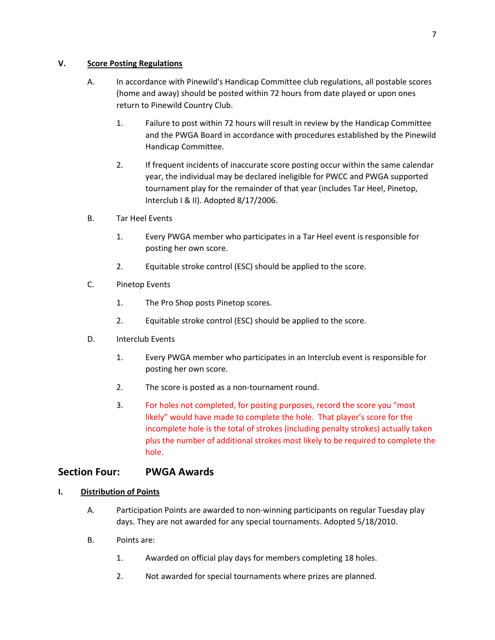# **V. Score Posting Regulations**

- A. In accordance with Pinewild's Handicap Committee club regulations, all postable scores (home and away) should be posted within 72 hours from date played or upon ones return to Pinewild Country Club.
	- 1. Failure to post within 72 hours will result in review by the Handicap Committee and the PWGA Board in accordance with procedures established by the Pinewild Handicap Committee.
	- 2. If frequent incidents of inaccurate score posting occur within the same calendar year, the individual may be declared ineligible for PWCC and PWGA supported tournament play for the remainder of that year (includes Tar Heel, Pinetop, Interclub I & II). Adopted 8/17/2006.
- B. Tar Heel Events
	- 1. Every PWGA member who participates in a Tar Heel event is responsible for posting her own score.
	- 2. Equitable stroke control (ESC) should be applied to the score.
- C. Pinetop Events
	- 1. The Pro Shop posts Pinetop scores.
	- 2. Equitable stroke control (ESC) should be applied to the score.
- D. Interclub Events
	- 1. Every PWGA member who participates in an Interclub event is responsible for posting her own score.
	- 2. The score is posted as a non-tournament round.
	- 3. For holes not completed, for posting purposes, record the score you "most likely" would have made to complete the hole. That player's score for the incomplete hole is the total of strokes (including penalty strokes) actually taken plus the number of additional strokes most likely to be required to complete the hole.

# **Section Four: PWGA Awards**

# **I. Distribution of Points**

- A. Participation Points are awarded to non-winning participants on regular Tuesday play days. They are not awarded for any special tournaments. Adopted 5/18/2010.
- B. Points are:
	- 1. Awarded on official play days for members completing 18 holes.
	- 2. Not awarded for special tournaments where prizes are planned.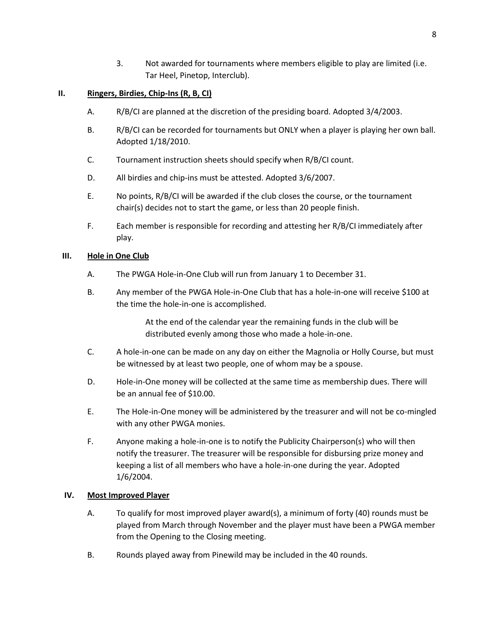3. Not awarded for tournaments where members eligible to play are limited (i.e. Tar Heel, Pinetop, Interclub).

## **II. Ringers, Birdies, Chip-Ins (R, B, CI)**

- A. R/B/CI are planned at the discretion of the presiding board. Adopted 3/4/2003.
- B. R/B/CI can be recorded for tournaments but ONLY when a player is playing her own ball. Adopted 1/18/2010.
- C. Tournament instruction sheets should specify when R/B/CI count.
- D. All birdies and chip-ins must be attested. Adopted 3/6/2007.
- E. No points, R/B/CI will be awarded if the club closes the course, or the tournament chair(s) decides not to start the game, or less than 20 people finish.
- F. Each member is responsible for recording and attesting her R/B/CI immediately after play.

#### **III. Hole in One Club**

- A. The PWGA Hole-in-One Club will run from January 1 to December 31.
- B. Any member of the PWGA Hole-in-One Club that has a hole-in-one will receive \$100 at the time the hole-in-one is accomplished.

At the end of the calendar year the remaining funds in the club will be distributed evenly among those who made a hole-in-one.

- C. A hole-in-one can be made on any day on either the Magnolia or Holly Course, but must be witnessed by at least two people, one of whom may be a spouse.
- D. Hole-in-One money will be collected at the same time as membership dues. There will be an annual fee of \$10.00.
- E. The Hole-in-One money will be administered by the treasurer and will not be co-mingled with any other PWGA monies.
- F. Anyone making a hole-in-one is to notify the Publicity Chairperson(s) who will then notify the treasurer. The treasurer will be responsible for disbursing prize money and keeping a list of all members who have a hole-in-one during the year. Adopted 1/6/2004.

#### **IV. Most Improved Player**

- A. To qualify for most improved player award(s), a minimum of forty (40) rounds must be played from March through November and the player must have been a PWGA member from the Opening to the Closing meeting.
- B. Rounds played away from Pinewild may be included in the 40 rounds.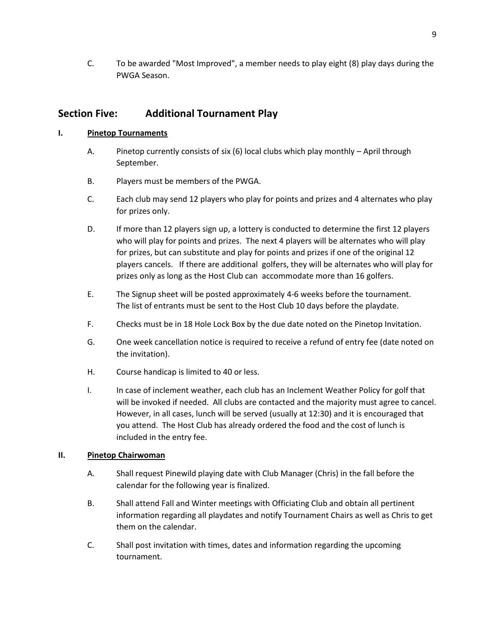C. To be awarded "Most Improved", a member needs to play eight (8) play days during the PWGA Season.

# **Section Five: Additional Tournament Play**

## **I. Pinetop Tournaments**

- A. Pinetop currently consists of six (6) local clubs which play monthly April through September.
- B. Players must be members of the PWGA.
- C. Each club may send 12 players who play for points and prizes and 4 alternates who play for prizes only.
- D. If more than 12 players sign up, a lottery is conducted to determine the first 12 players who will play for points and prizes. The next 4 players will be alternates who will play for prizes, but can substitute and play for points and prizes if one of the original 12 players cancels. If there are additional golfers, they will be alternates who will play for prizes only as long as the Host Club can accommodate more than 16 golfers.
- E. The Signup sheet will be posted approximately 4-6 weeks before the tournament. The list of entrants must be sent to the Host Club 10 days before the playdate.
- F. Checks must be in 18 Hole Lock Box by the due date noted on the Pinetop Invitation.
- G. One week cancellation notice is required to receive a refund of entry fee (date noted on the invitation).
- H. Course handicap is limited to 40 or less.
- I. In case of inclement weather, each club has an Inclement Weather Policy for golf that will be invoked if needed. All clubs are contacted and the majority must agree to cancel. However, in all cases, lunch will be served (usually at 12:30) and it is encouraged that you attend. The Host Club has already ordered the food and the cost of lunch is included in the entry fee.

### **II. Pinetop Chairwoman**

- A. Shall request Pinewild playing date with Club Manager (Chris) in the fall before the calendar for the following year is finalized.
- B. Shall attend Fall and Winter meetings with Officiating Club and obtain all pertinent information regarding all playdates and notify Tournament Chairs as well as Chris to get them on the calendar.
- C. Shall post invitation with times, dates and information regarding the upcoming tournament.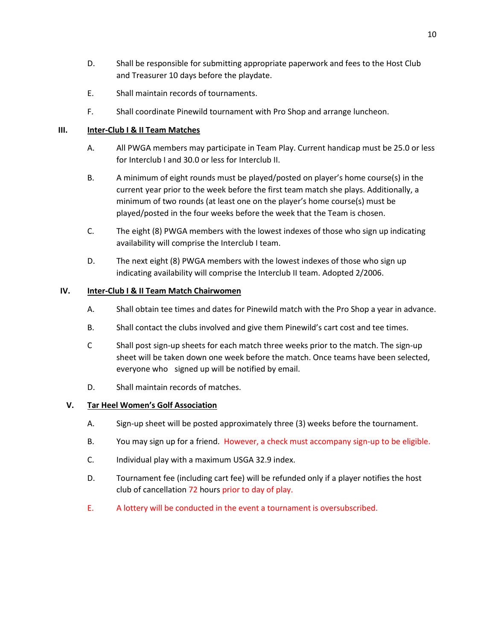- D. Shall be responsible for submitting appropriate paperwork and fees to the Host Club and Treasurer 10 days before the playdate.
- E. Shall maintain records of tournaments.
- F. Shall coordinate Pinewild tournament with Pro Shop and arrange luncheon.

### **III. Inter-Club I & II Team Matches**

- A. All PWGA members may participate in Team Play. Current handicap must be 25.0 or less for Interclub I and 30.0 or less for Interclub II.
- B. A minimum of eight rounds must be played/posted on player's home course(s) in the current year prior to the week before the first team match she plays. Additionally, a minimum of two rounds (at least one on the player's home course(s) must be played/posted in the four weeks before the week that the Team is chosen.
- C. The eight (8) PWGA members with the lowest indexes of those who sign up indicating availability will comprise the Interclub I team.
- D. The next eight (8) PWGA members with the lowest indexes of those who sign up indicating availability will comprise the Interclub II team. Adopted 2/2006.

## **IV. Inter-Club I & II Team Match Chairwomen**

- A. Shall obtain tee times and dates for Pinewild match with the Pro Shop a year in advance.
- B. Shall contact the clubs involved and give them Pinewild's cart cost and tee times.
- C Shall post sign-up sheets for each match three weeks prior to the match. The sign-up sheet will be taken down one week before the match. Once teams have been selected, everyone who signed up will be notified by email.
- D. Shall maintain records of matches.

### **V. Tar Heel Women's Golf Association**

- A. Sign-up sheet will be posted approximately three (3) weeks before the tournament.
- B. You may sign up for a friend. However, a check must accompany sign-up to be eligible.
- C. Individual play with a maximum USGA 32.9 index.
- D. Tournament fee (including cart fee) will be refunded only if a player notifies the host club of cancellation 72 hours prior to day of play.
- E. A lottery will be conducted in the event a tournament is oversubscribed.